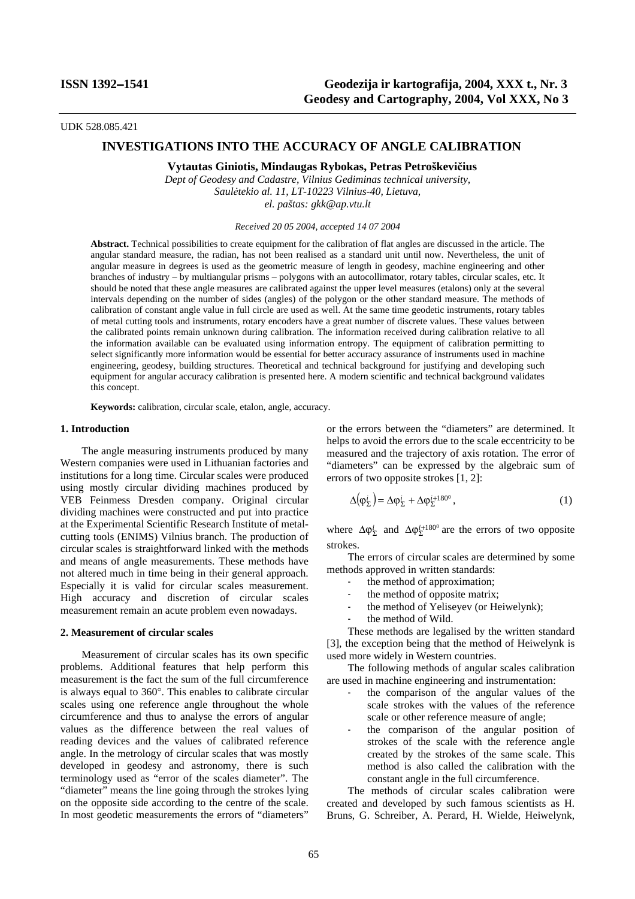UDK 528.085.421

# **INVESTIGATIONS INTO THE ACCURACY OF ANGLE CALIBRATION**

**Vytautas Giniotis, Mindaugas Rybokas, Petras Petroškevičius** 

*Dept of Geodesy and Cadastre, Vilnius Gediminas technical university, Saulėtekio al. 11, LT-10223 Vilnius-40, Lietuva, el. paštas: gkk@ap.vtu.lt*

*Received 20 05 2004*, *accepted 14 07 2004*

**Abstract.** Technical possibilities to create equipment for the calibration of flat angles are discussed in the article. The angular standard measure, the radian, has not been realised as a standard unit until now. Nevertheless, the unit of angular measure in degrees is used as the geometric measure of length in geodesy, machine engineering and other branches of industry – by multiangular prisms – polygons with an autocollimator, rotary tables, circular scales, etc. It should be noted that these angle measures are calibrated against the upper level measures (etalons) only at the several intervals depending on the number of sides (angles) of the polygon or the other standard measure. The methods of calibration of constant angle value in full circle are used as well. At the same time geodetic instruments, rotary tables of metal cutting tools and instruments, rotary encoders have a great number of discrete values. These values between the calibrated points remain unknown during calibration. The information received during calibration relative to all the information available can be evaluated using information entropy. The equipment of calibration permitting to select significantly more information would be essential for better accuracy assurance of instruments used in machine engineering, geodesy, building structures. Theoretical and technical background for justifying and developing such equipment for angular accuracy calibration is presented here. A modern scientific and technical background validates this concept.

**Keywords:** calibration, circular scale, etalon, angle, accuracy.

## **1. Introduction**

The angle measuring instruments produced by many Western companies were used in Lithuanian factories and institutions for a long time. Circular scales were produced using mostly circular dividing machines produced by VEB Feinmess Dresden company. Original circular dividing machines were constructed and put into practice at the Experimental Scientific Research Institute of metalcutting tools (ENIMS) Vilnius branch. The production of circular scales is straightforward linked with the methods and means of angle measurements. These methods have not altered much in time being in their general approach. Especially it is valid for circular scales measurement. High accuracy and discretion of circular scales measurement remain an acute problem even nowadays.

#### **2. Measurement of circular scales**

Measurement of circular scales has its own specific problems. Additional features that help perform this measurement is the fact the sum of the full circumference is always equal to 360°. This enables to calibrate circular scales using one reference angle throughout the whole circumference and thus to analyse the errors of angular values as the difference between the real values of reading devices and the values of calibrated reference angle. In the metrology of circular scales that was mostly developed in geodesy and astronomy, there is such terminology used as "error of the scales diameter". The "diameter" means the line going through the strokes lying on the opposite side according to the centre of the scale. In most geodetic measurements the errors of "diameters"

or the errors between the "diameters" are determined. It helps to avoid the errors due to the scale eccentricity to be measured and the trajectory of axis rotation. The error of "diameters" can be expressed by the algebraic sum of errors of two opposite strokes [1, 2]:

$$
\Delta(\varphi_{\Sigma}^{i}) = \Delta \varphi_{\Sigma}^{i} + \Delta \varphi_{\Sigma}^{i+180^0},\tag{1}
$$

where  $\Delta \varphi_{\Sigma}^{i}$  and  $\Delta \varphi_{\Sigma}^{i+180^{\circ}}$  are the errors of two opposite strokes.

The errors of circular scales are determined by some methods approved in written standards:

- the method of approximation:
- the method of opposite matrix;
- the method of Yeliseyev (or Heiwelynk);
- the method of Wild.

These methods are legalised by the written standard [3], the exception being that the method of Heiwelynk is used more widely in Western countries.

The following methods of angular scales calibration are used in machine engineering and instrumentation:

- the comparison of the angular values of the scale strokes with the values of the reference scale or other reference measure of angle;
- the comparison of the angular position of strokes of the scale with the reference angle created by the strokes of the same scale. This method is also called the calibration with the constant angle in the full circumference.

The methods of circular scales calibration were created and developed by such famous scientists as H. Bruns, G. Schreiber, A. Perard, H. Wielde, Heiwelynk,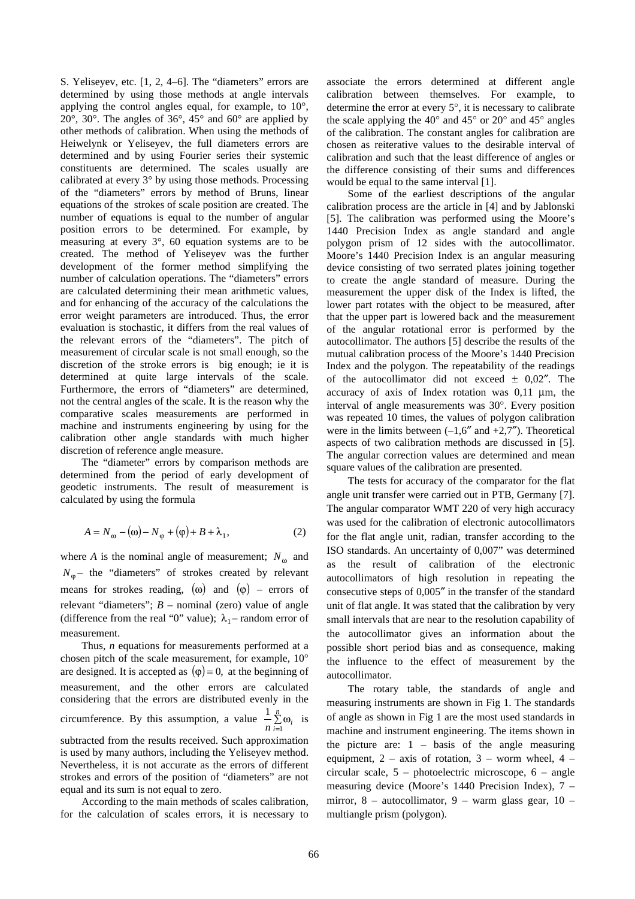S. Yeliseyev, etc. [1, 2, 4–6]. The "diameters" errors are determined by using those methods at angle intervals applying the control angles equal, for example, to 10°, 20°, 30°. The angles of 36°, 45° and 60° are applied by other methods of calibration. When using the methods of Heiwelynk or Yeliseyev, the full diameters errors are determined and by using Fourier series their systemic constituents are determined. The scales usually are calibrated at every 3° by using those methods. Processing of the "diameters" errors by method of Bruns, linear equations of the strokes of scale position are created. The number of equations is equal to the number of angular position errors to be determined. For example, by measuring at every 3°, 60 equation systems are to be created. The method of Yeliseyev was the further development of the former method simplifying the number of calculation operations. The "diameters" errors are calculated determining their mean arithmetic values, and for enhancing of the accuracy of the calculations the error weight parameters are introduced. Thus, the error evaluation is stochastic, it differs from the real values of the relevant errors of the "diameters". The pitch of measurement of circular scale is not small enough, so the discretion of the stroke errors is big enough; ie it is determined at quite large intervals of the scale. Furthermore, the errors of "diameters" are determined, not the central angles of the scale. It is the reason why the comparative scales measurements are performed in machine and instruments engineering by using for the calibration other angle standards with much higher discretion of reference angle measure.

The "diameter" errors by comparison methods are determined from the period of early development of geodetic instruments. The result of measurement is calculated by using the formula

$$
A = N_{\omega} - (\omega) - N_{\varphi} + (\varphi) + B + \lambda_1, \qquad (2)
$$

where *A* is the nominal angle of measurement;  $N_{\omega}$  and  $N_{\phi}$  – the "diameters" of strokes created by relevant means for strokes reading, ( $\omega$ ) and ( $\varphi$ ) – errors of relevant "diameters"; *B* – nominal (zero) value of angle (difference from the real "0" value);  $\lambda_1$  – random error of measurement.

Thus, *n* equations for measurements performed at a chosen pitch of the scale measurement, for example, 10° are designed. It is accepted as  $(\varphi) = 0$ , at the beginning of measurement, and the other errors are calculated considering that the errors are distributed evenly in the circumference. By this assumption, a value  $\frac{1}{n} \sum_{i=1}^{\infty} \omega_i$ *n*  $\frac{1}{n} \sum_{i=1}^{n} \omega_i$  is subtracted from the results received. Such approximation is used by many authors, including the Yeliseyev method. Nevertheless, it is not accurate as the errors of different strokes and errors of the position of "diameters" are not equal and its sum is not equal to zero.

According to the main methods of scales calibration, for the calculation of scales errors, it is necessary to associate the errors determined at different angle calibration between themselves. For example, to determine the error at every 5°, it is necessary to calibrate the scale applying the 40° and 45° or 20° and 45° angles of the calibration. The constant angles for calibration are chosen as reiterative values to the desirable interval of calibration and such that the least difference of angles or the difference consisting of their sums and differences would be equal to the same interval [1].

Some of the earliest descriptions of the angular calibration process are the article in [4] and by Jablonski [5]. The calibration was performed using the Moore's 1440 Precision Index as angle standard and angle polygon prism of 12 sides with the autocollimator. Moore's 1440 Precision Index is an angular measuring device consisting of two serrated plates joining together to create the angle standard of measure. During the measurement the upper disk of the Index is lifted, the lower part rotates with the object to be measured, after that the upper part is lowered back and the measurement of the angular rotational error is performed by the autocollimator. The authors [5] describe the results of the mutual calibration process of the Moore's 1440 Precision Index and the polygon. The repeatability of the readings of the autocollimator did not exceed  $\pm$  0,02". The accuracy of axis of Index rotation was 0,11 µm, the interval of angle measurements was 30°. Every position was repeated 10 times, the values of polygon calibration were in the limits between  $(-1,6''$  and  $+2,7'')$ . Theoretical aspects of two calibration methods are discussed in [5]. The angular correction values are determined and mean square values of the calibration are presented.

The tests for accuracy of the comparator for the flat angle unit transfer were carried out in PTB, Germany [7]. The angular comparator WMT 220 of very high accuracy was used for the calibration of electronic autocollimators for the flat angle unit, radian, transfer according to the ISO standards. An uncertainty of 0,007" was determined as the result of calibration of the electronic autocollimators of high resolution in repeating the consecutive steps of 0,005″ in the transfer of the standard unit of flat angle. It was stated that the calibration by very small intervals that are near to the resolution capability of the autocollimator gives an information about the possible short period bias and as consequence, making the influence to the effect of measurement by the autocollimator.

The rotary table, the standards of angle and measuring instruments are shown in Fig 1. The standards of angle as shown in Fig 1 are the most used standards in machine and instrument engineering. The items shown in the picture are:  $1 - basis$  of the angle measuring equipment,  $2 - axis$  of rotation,  $3 - worm$  wheel,  $4$ circular scale, 5 – photoelectric microscope, 6 – angle measuring device (Moore's 1440 Precision Index), 7 – mirror, 8 – autocollimator, 9 – warm glass gear, 10 – multiangle prism (polygon).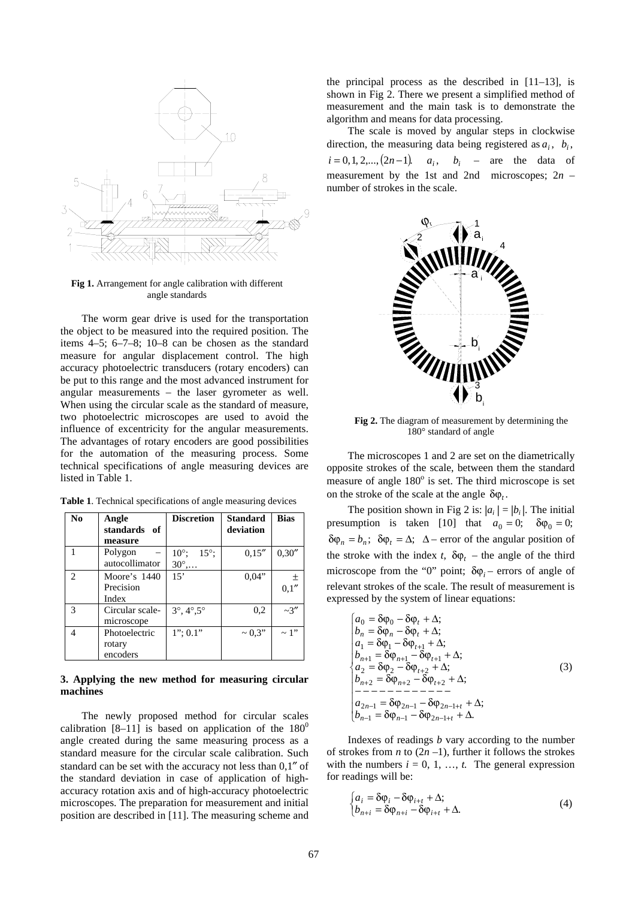

**Fig 1.** Arrangement for angle calibration with different angle standards

The worm gear drive is used for the transportation the object to be measured into the required position. The items 4–5; 6–7–8; 10–8 can be chosen as the standard measure for angular displacement control. The high accuracy photoelectric transducers (rotary encoders) can be put to this range and the most advanced instrument for angular measurements – the laser gyrometer as well. When using the circular scale as the standard of measure, two photoelectric microscopes are used to avoid the influence of excentricity for the angular measurements. The advantages of rotary encoders are good possibilities for the automation of the measuring process. Some technical specifications of angle measuring devices are listed in Table 1.

| N <sub>0</sub> | Angle<br>standards of<br>measure    | <b>Discretion</b>                        | <b>Standard</b><br>deviation | <b>Bias</b>    |
|----------------|-------------------------------------|------------------------------------------|------------------------------|----------------|
|                | Polygon<br>autocollimator           | $10^\circ$<br>$15^\circ$ :<br>$30^\circ$ | 0.15''                       | 0,30''         |
| $\mathfrak{D}$ | Moore's 1440<br>Precision<br>Index  | 15                                       | 0.04"                        | $\pm$<br>0,1'' |
| 3              | Circular scale-<br>microscope       | $3^{\circ}, 4^{\circ}, 5^{\circ}$        | 0,2                          | $-3''$         |
| 4              | Photoelectric<br>rotary<br>encoders | $1$ ": 0.1"                              | $\sim 0.3"$                  | $\sim$ 1"      |

**Table 1**. Technical specifications of angle measuring devices

#### **3. Applying the new method for measuring circular machines**

The newly proposed method for circular scales calibration  $[8-11]$  is based on application of the  $180^0$ angle created during the same measuring process as a standard measure for the circular scale calibration. Such standard can be set with the accuracy not less than 0,1″ of the standard deviation in case of application of highaccuracy rotation axis and of high-accuracy photoelectric microscopes. The preparation for measurement and initial position are described in [11]. The measuring scheme and the principal process as the described in [11–13], is shown in Fig 2. There we present a simplified method of measurement and the main task is to demonstrate the algorithm and means for data processing.

The scale is moved by angular steps in clockwise direction, the measuring data being registered as  $a_i$ ,  $b_i$ ,  $i = 0, 1, 2, \dots, (2n-1)$   $a_i, b_i$  – are the data of measurement by the 1st and 2nd microscopes; 2*n* – number of strokes in the scale.



**Fig 2.** The diagram of measurement by determining the 180° standard of angle

The microscopes 1 and 2 are set on the diametrically opposite strokes of the scale, between them the standard measure of angle 180<sup>°</sup> is set. The third microscope is set on the stroke of the scale at the angle  $\delta \varphi$ .

The position shown in Fig 2 is:  $|a_i| = |b_i|$ . The initial presumption is taken [10] that  $a_0 = 0$ ;  $\delta \varphi_0 = 0$ ;  $\delta \varphi_n = b_n$ ;  $\delta \varphi_t = \Delta$ ;  $\Delta$  – error of the angular position of the stroke with the index *t*,  $\delta \varphi_t$  – the angle of the third microscope from the "0" point;  $\delta \varphi_i$  – errors of angle of relevant strokes of the scale. The result of measurement is expressed by the system of linear equations:

$$
\begin{cases}\na_0 = \delta \varphi_0 - \delta \varphi_t + \Delta; \\
b_n = \delta \varphi_n - \delta \varphi_t + \Delta; \\
a_1 = \delta \varphi_1 - \delta \varphi_{t+1} + \Delta; \\
b_{n+1} = \delta \varphi_{n+1} - \delta \varphi_{t+1} + \Delta; \\
a_2 = \delta \varphi_2 - \delta \varphi_{t+2} + \Delta; \\
b_{n+2} = \delta \varphi_{n+2} - \delta \varphi_{t+2} + \Delta; \\
- - - - - - - - - - - \\
a_{2n-1} = \delta \varphi_{2n-1} - \delta \varphi_{2n-1+t} + \Delta; \\
b_{n-1} = \delta \varphi_{n-1} - \delta \varphi_{2n-1+t} + \Delta.\n\end{cases} (3)
$$

Indexes of readings *b* vary according to the number of strokes from *n* to  $(2n - 1)$ , further it follows the strokes with the numbers  $i = 0, 1, \ldots, t$ . The general expression for readings will be:

$$
\begin{cases} a_i = \delta \varphi_i - \delta \varphi_{i+t} + \Delta; \\ b_{n+i} = \delta \varphi_{n+i} - \delta \varphi_{i+t} + \Delta. \end{cases} \tag{4}
$$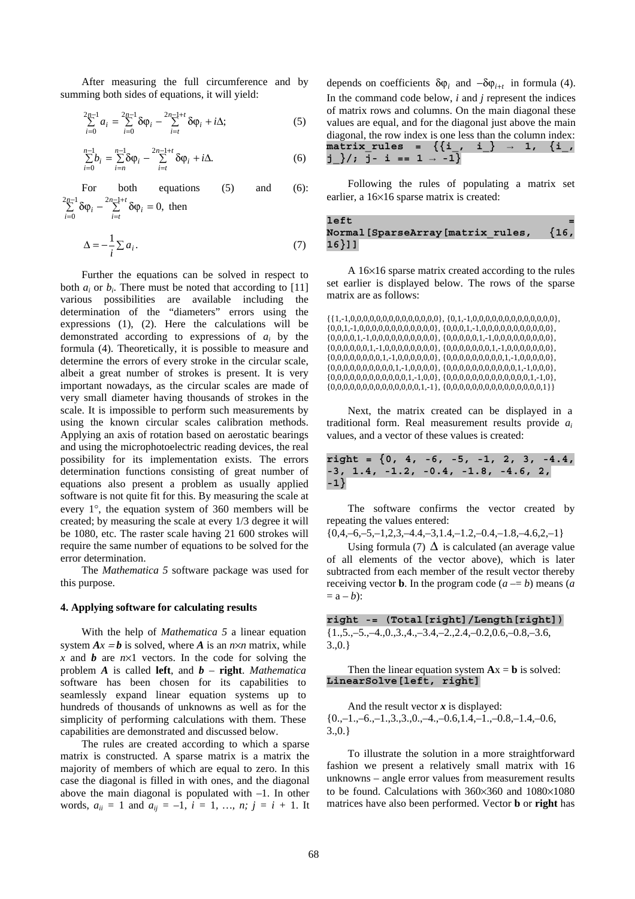After measuring the full circumference and by summing both sides of equations, it will yield:

$$
\sum_{i=0}^{2n-1} a_i = \sum_{i=0}^{2n-1} \delta \varphi_i - \sum_{i=t}^{2n-1+t} \delta \varphi_i + i \Delta; \tag{5}
$$

$$
\sum_{i=0}^{n-1} b_i = \sum_{i=n}^{n-1} \delta \varphi_i - \sum_{i=t}^{2n-1+t} \delta \varphi_i + i \Delta. \tag{6}
$$

For both equations (5) and (6):  $\sum_{i=0}^{2n-1} \delta \varphi_i - \sum_{i=t}^{2n-1+t} \delta \varphi_i = 0,$ − =  $n = 1 + t$  $\sum_{i=t}$  *v*  $\psi_i$ *n*  $\sum_{i=0}^{n} \delta \varphi_i - \sum_{i=t}^{n} \delta \varphi_i = 0$ , then

$$
\Delta = -\frac{1}{i} \sum a_i. \tag{7}
$$

Further the equations can be solved in respect to both  $a_i$  or  $b_i$ . There must be noted that according to [11] various possibilities are available including the determination of the "diameters" errors using the expressions (1), (2). Here the calculations will be demonstrated according to expressions of *ai* by the formula (4). Theoretically, it is possible to measure and determine the errors of every stroke in the circular scale, albeit a great number of strokes is present. It is very important nowadays, as the circular scales are made of very small diameter having thousands of strokes in the scale. It is impossible to perform such measurements by using the known circular scales calibration methods. Applying an axis of rotation based on aerostatic bearings and using the microphotoelectric reading devices, the real possibility for its implementation exists. The errors determination functions consisting of great number of equations also present a problem as usually applied software is not quite fit for this. By measuring the scale at every 1°, the equation system of 360 members will be created; by measuring the scale at every 1/3 degree it will be 1080, etc. The raster scale having 21 600 strokes will require the same number of equations to be solved for the error determination.

The *Mathematica 5* software package was used for this purpose.

#### **4. Applying software for calculating results**

With the help of *Mathematica 5* a linear equation system  $Ax = b$  is solved, where *A* is an  $n \times n$  matrix, while *x* and *b* are  $n \times 1$  vectors. In the code for solving the problem *A* is called **left**, and *b* – **right**. *Mathematica* software has been chosen for its capabilities to seamlessly expand linear equation systems up to hundreds of thousands of unknowns as well as for the simplicity of performing calculations with them. These capabilities are demonstrated and discussed below.

The rules are created according to which a sparse matrix is constructed. A sparse matrix is a matrix the majority of members of which are equal to zero. In this case the diagonal is filled in with ones, and the diagonal above the main diagonal is populated with  $-1$ . In other words,  $a_{ii} = 1$  and  $a_{ij} = -1$ ,  $i = 1$ , ...,  $n$ ;  $j = i + 1$ . It

depends on coefficients  $\delta \varphi_i$  and  $-\delta \varphi_{i+t}$  in formula (4). In the command code below, *i* and *j* represent the indices of matrix rows and columns. On the main diagonal these values are equal, and for the diagonal just above the main diagonal, the row index is one less than the column index: **matrix\_rules = {{i\_, i\_} → 1, {i\_, j\_}/; j- i == 1 → -1}** 

Following the rules of populating a matrix set earlier, a 16×16 sparse matrix is created:

## **left = Normal[SparseArray[matrix\_rules, {16, 16}]]**

A 16×16 sparse matrix created according to the rules set earlier is displayed below. The rows of the sparse matrix are as follows:

 $\{ \{1, -1, 0, 0, 0, 0, 0, 0, 0, 0, 0, 0, 0, 0, 0\}, \{0, 1, -1, 0, 0, 0, 0, 0, 0, 0, 0, 0, 0, 0, 0\}, \}$  $\{0,0,1,-1,0,0,0,0,0,0,0,0,0,0,0\}$ ,  $\{0,0,0,1,-1,0,0,0,0,0,0,0,0,0,0\}$ ,  $\{0,0,0,0,1,-1,0,0,0,0,0,0,0,0,0\}$ ,  $\{0,0,0,0,0,1,-1,0,0,0,0,0,0,0,0\}$ ,  $\{0,0,0,0,0,0,1,-1,0,0,0,0,0,0,0,0\}$ ,  $\{0,0,0,0,0,0,0,1,-1,0,0,0,0,0,0,0\}$ ,  $\{0,0,0,0,0,0,0,0,1,-1,0,0,0,0,0\}$ ,  $\{0,0,0,0,0,0,0,0,1,-1,0,0,0,0,0\}$ ,  ${0,0,0,0,0,0,0,0,0,0,1,-1,0,0,0,0}, {0,0,0,0,0,0,0,0,0,0,0,1,-1,0,0,0},$  $\{0,0,0,0,0,0,0,0,0,0,0,0,1,-1,0,0\}$ ,  $\{0,0,0,0,0,0,0,0,0,0,0,0,0,1,-1,0\}$ ,  $\{0,0,0,0,0,0,0,0,0,0,0,0,0,0,1,-1\}, \{0,0,0,0,0,0,0,0,0,0,0,0,0,0,0,1\}\}$ 

Next, the matrix created can be displayed in a traditional form. Real measurement results provide *ai* values, and a vector of these values is created:

**right = {0, 4, -6, -5, -1, 2, 3, -4.4, -3, 1.4, -1.2, -0.4, -1.8, -4.6, 2, -1}** 

The software confirms the vector created by repeating the values entered:

 $\{0,4,-6,-5,-1,2,3,-4.4,-3,1.4,-1.2,-0.4,-1.8,-4.6,2,-1\}$ 

Using formula (7)  $\Delta$  is calculated (an average value of all elements of the vector above), which is later subtracted from each member of the result vector thereby receiving vector **b**. In the program code  $(a - b)$  means  $(a \neq b)$  $=$   $a - b$ :

**right -= (Total[right]/Length[right])**   ${1, 5, -5, -4, 0, 3, 4, -3, 4, -2, 2, 4, -0.2, 0.6, -0.8, -3.6,$ 3.,0.}

Then the linear equation system  $Ax = b$  is solved: **LinearSolve[left, right]** 

And the result vector  $x$  is displayed:  ${0,-1,-6,-1,3,3,0,-4,-0.6,1.4,-1,-0.8,-1.4,-0.6}$ 3.,0.}

To illustrate the solution in a more straightforward fashion we present a relatively small matrix with 16 unknowns – angle error values from measurement results to be found. Calculations with 360×360 and 1080×1080 matrices have also been performed. Vector **b** or **right** has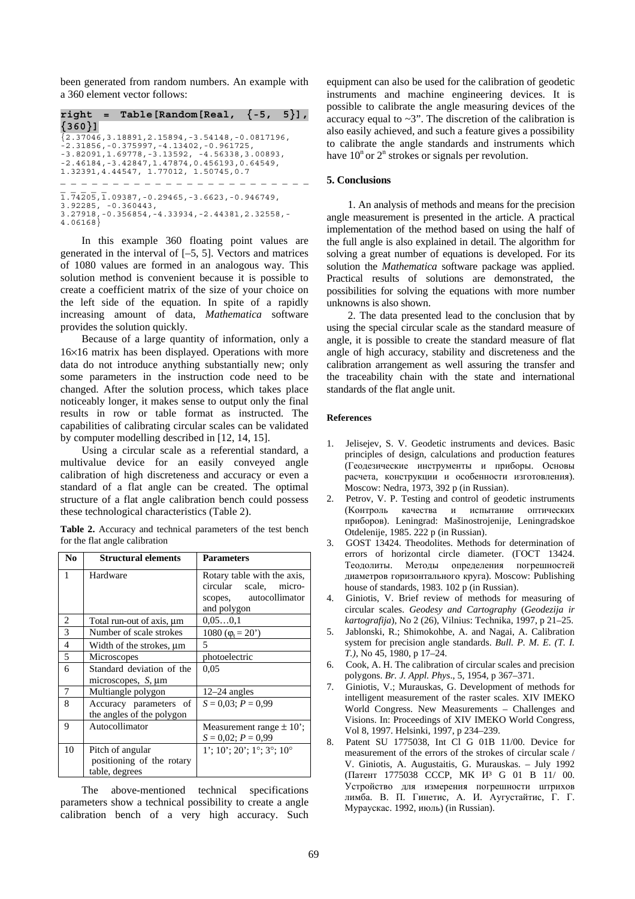been generated from random numbers. An example with a 360 element vector follows:

```
right = Table[Random[Real, {-5, 5}],
{360}] 
{2.37046,3.18891,2.15894,-3.54148,-0.0817196, 
-2.31856,-0.375997,-4.13402,-0.961725, 
-3.82091,1.69778,-3.13592, -4.56338,3.00893, 
-2.46184,-3.42847,1.47874,0.456193,0.64549, 
1.32391,4.44547, 1.77012, 1.50745,0.7 
             _ _ _ _ _ _ _ _ _ _ _ _ _ _ _ _ _ _ _ _ _ _ _ _ 
_ _ _ _ _ 
1.74205,1.09387,-0.29465,-3.6623,-0.946749, 
3.92285, -0.360443, 
3.27918,-0.356854,-4.33934,-2.44381,2.32558,-
4.06168}
```
In this example 360 floating point values are generated in the interval of [–5, 5]. Vectors and matrices of 1080 values are formed in an analogous way. This solution method is convenient because it is possible to create a coefficient matrix of the size of your choice on the left side of the equation. In spite of a rapidly increasing amount of data, *Mathematica* software provides the solution quickly.

Because of a large quantity of information, only a 16×16 matrix has been displayed. Operations with more data do not introduce anything substantially new; only some parameters in the instruction code need to be changed. After the solution process, which takes place noticeably longer, it makes sense to output only the final results in row or table format as instructed. The capabilities of calibrating circular scales can be validated by computer modelling described in [12, 14, 15].

Using a circular scale as a referential standard, a multivalue device for an easily conveyed angle calibration of high discreteness and accuracy or even a standard of a flat angle can be created. The optimal structure of a flat angle calibration bench could possess these technological characteristics (Table 2).

**Table 2.** Accuracy and technical parameters of the test bench for the flat angle calibration

| N <sub>0</sub> | <b>Structural elements</b>                                      | <b>Parameters</b>                                                                              |
|----------------|-----------------------------------------------------------------|------------------------------------------------------------------------------------------------|
| 1              | Hardware                                                        | Rotary table with the axis,<br>circular scale, micro-<br>scopes, autocollimator<br>and polygon |
| 2              | Total run-out of axis, µm                                       | 0,050,1                                                                                        |
| 3              | Number of scale strokes                                         | 1080 ( $\varphi_t = 20$ )                                                                      |
| $\overline{4}$ | Width of the strokes, $\mu$ m                                   | 5                                                                                              |
| 5              | Microscopes                                                     | photoelectric                                                                                  |
| 6              | Standard deviation of the<br>microscopes, $S$ , $\mu$ m         | 0.05                                                                                           |
| 7              | Multiangle polygon                                              | $12-24$ angles                                                                                 |
| 8              | Accuracy parameters of<br>the angles of the polygon             | $S = 0.03$ ; $P = 0.99$                                                                        |
| 9              | Autocollimator                                                  | Measurement range $\pm 10$ ';<br>$S = 0.02$ ; $P = 0.99$                                       |
| 10             | Pitch of angular<br>positioning of the rotary<br>table, degrees | $1'$ ; 10'; 20'; 1°; 3°; 10°                                                                   |

The above-mentioned technical specifications parameters show a technical possibility to create a angle calibration bench of a very high accuracy. Such equipment can also be used for the calibration of geodetic instruments and machine engineering devices. It is possible to calibrate the angle measuring devices of the accuracy equal to  $\sim$ 3". The discretion of the calibration is also easily achieved, and such a feature gives a possibility to calibrate the angle standards and instruments which have  $10^n$  or  $2^n$  strokes or signals per revolution.

## **5. Conclusions**

1. An analysis of methods and means for the precision angle measurement is presented in the article. A practical implementation of the method based on using the half of the full angle is also explained in detail. The algorithm for solving a great number of equations is developed. For its solution the *Mathematica* software package was applied. Practical results of solutions are demonstrated, the possibilities for solving the equations with more number unknowns is also shown.

2. The data presented lead to the conclusion that by using the special circular scale as the standard measure of angle, it is possible to create the standard measure of flat angle of high accuracy, stability and discreteness and the calibration arrangement as well assuring the transfer and the traceability chain with the state and international standards of the flat angle unit.

## **References**

- 1. Jelisejev, S. V. Geodetic instruments and devices. Basic principles of design, calculations and production features (Геодезические инструменты и приборы. Основы расчета, конструкции и особенности изготовления). Moscow: Nedra, 1973, 392 p (in Russian).
- 2. Petrov, V. P. Testing and control of geodetic instruments (Kонтроль качества и испытание оптических приборов). Leningrad: Mašinostrojenije, Leningradskoe Otdelenije, 1985. 222 p (in Russian).
- 3. GOST 13424. Theodolites. Methods for determination of errors of horizontal circle diameter. (ГОСТ 13424. Теодолиты. Методы определения погрешностей диаметров горизонтального круга). Мoscow: Publishing house of standards, 1983. 102 p (in Russian).
- 4. Giniotis, V. Brief review of methods for measuring of circular scales. *Geodesy and Cartography* (*Geodezija ir kartografija*), No 2 (26), Vilnius: Technika, 1997, p 21–25.
- 5. Jablonski, R.; Shimokohbe, A. and Nagai, A. Calibration system for precision angle standards. *Bull. P. M. E. (T. I. T.)*, No 45, 1980, p 17–24.
- 6. Cook, A. H. The calibration of circular scales and precision polygons. *Br. J. Appl. Phys*., 5, 1954, p 367–371.
- 7. Giniotis, V.; Murauskas, G. Development of methods for intelligent measurement of the raster scales. XIV IMEKO World Congress. New Measurements – Challenges and Visions. In: Proceedings of XIV IMEKO World Congress, Vol 8, 1997. Helsinki, 1997, p 234–239.
- 8. Patent SU 1775038, Int Cl G 01B 11/00. Device for measurement of the errors of the strokes of circular scale / V. Giniotis, A. Augustaitis, G. Murauskas. – July 1992 (Патент 1775038 CCCP, MK И³ G 01 B 11/ 00. Устройство для измерения погрешности штрихов лимба. В. П. Гинетис, А. И. Аугустайтис, Г. Г. Мураускас. 1992, июль) (in Russian).